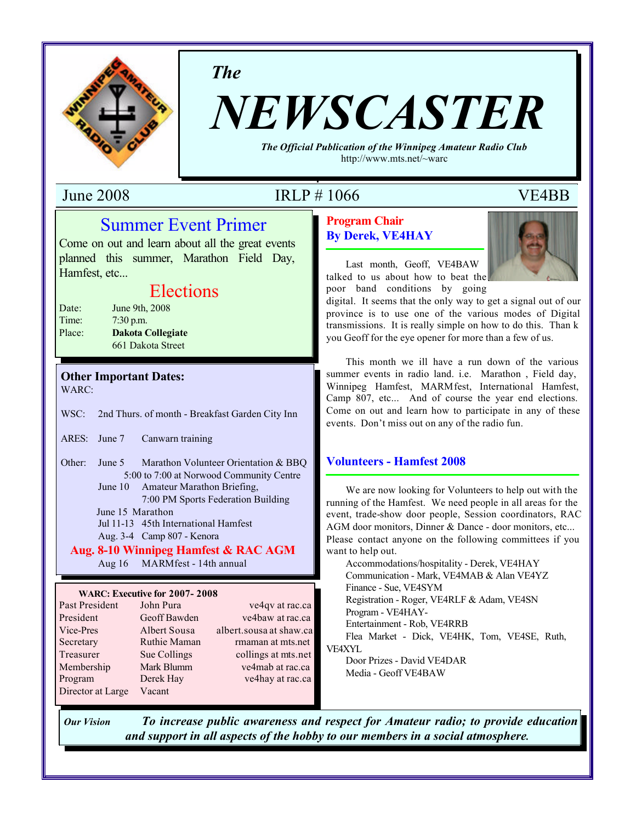

*The*

# *NEWSCASTER*

*The Official Publication of the Winnipeg Amateur Radio Club* http://www.mts.net/~warc

## June 2008 IRLP # 1066 VE4BB

## Summer Event Primer

Come on out and learn about all the great events planned this summer, Marathon Field Day, Hamfest, etc...

## Elections

| Date:  | June 9th, 2008           |
|--------|--------------------------|
| Time:  | $7:30$ p.m.              |
| Place: | <b>Dakota Collegiate</b> |
|        | 661 Dakota Street        |

#### **Other Important Dates:** WARC:

WSC: 2nd Thurs. of month - Breakfast Garden City Inn

ARES: June 7 Canwarn training

Other: June 5 Marathon Volunteer Orientation & BBQ 5:00 to 7:00 at Norwood Community Centre June 10 Amateur Marathon Briefing,

7:00 PM Sports Federation Building

June 15 Marathon

Jul 11-13 45th International Hamfest

Aug. 3-4 Camp 807 - Kenora

#### **Aug. 8-10 Winnipeg Hamfest & RAC AGM**

Aug 16 MARMfest - 14th annual

#### **WARC: Executive for 2007- 2008**

| Past President    | John Pura    | ve4qv at rac.ca         |
|-------------------|--------------|-------------------------|
| President         | Geoff Bawden | ve4baw at rac.ca        |
| Vice-Pres         | Albert Sousa | albert.sousa at shaw.ca |
| Secretary         | Ruthie Maman | rmaman at mts.net       |
| Treasurer         | Sue Collings | collings at mts.net     |
| Membership        | Mark Blumm   | ve4mab at rac.ca        |
| Program           | Derek Hay    | ve4hay at rac.ca        |
| Director at Large | Vacant       |                         |

## **Program Chair**

**By Derek, VE4HAY**



Last month, Geoff, VE4BAW talked to us about how to beat the poor band conditions by going

digital. It seems that the only way to get a signal out of our province is to use one of the various modes of Digital transmissions. It is really simple on how to do this. Than k you Geoff for the eye opener for more than a few of us.

This month we ill have a run down of the various summer events in radio land. i.e. Marathon , Field day, Winnipeg Hamfest, MARMfest, International Hamfest, Camp 807, etc... And of course the year end elections. Come on out and learn how to participate in any of these events. Don't miss out on any of the radio fun.

#### **Volunteers - Hamfest 2008**

We are now looking for Volunteers to help out with the running of the Hamfest. We need people in all areas for the event, trade-show door people, Session coordinators, RAC AGM door monitors, Dinner & Dance - door monitors, etc... Please contact anyone on the following committees if you want to help out.

Accommodations/hospitality - Derek, VE4HAY Communication - Mark, VE4MAB & Alan VE4YZ Finance - Sue, VE4SYM Registration - Roger, VE4RLF & Adam, VE4SN Program - VE4HAY-Entertainment - Rob, VE4RRB Flea Market - Dick, VE4HK, Tom, VE4SE, Ruth, VE4XYL Door Prizes - David VE4DAR

Media - Geoff VE4BAW

*Our Vision To increase public awareness and respect for Amateur radio; to provide education and support in all aspects of the hobby to our members in a social atmosphere.*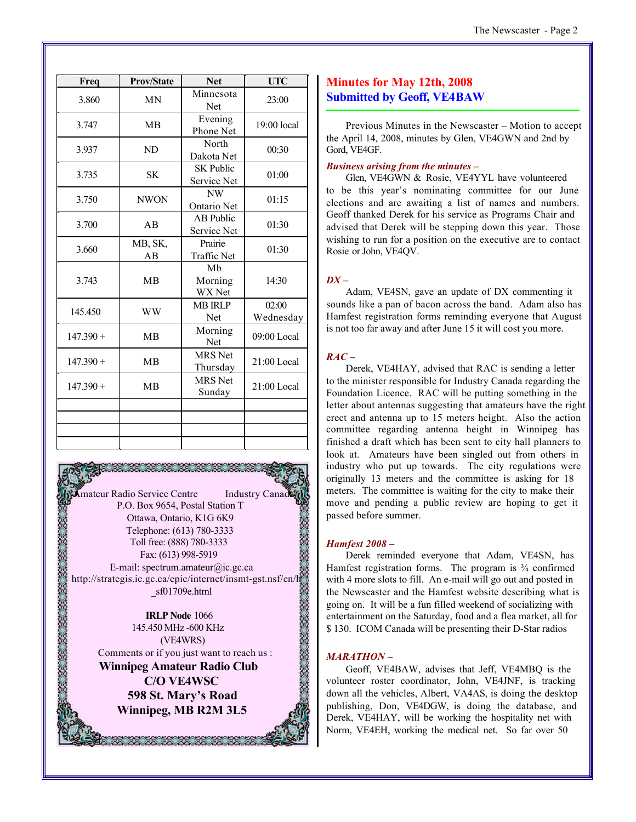| The Newscaster - Page 2 |  |
|-------------------------|--|
|-------------------------|--|

| Freq        | <b>Prov/State</b> | <b>Net</b>                      | <b>UTC</b>         |
|-------------|-------------------|---------------------------------|--------------------|
| 3.860       | <b>MN</b>         | Minnesota<br>Net                | 23:00              |
| 3.747       | <b>MB</b>         | Evening<br>Phone Net            | $19:00$ local      |
| 3.937       | ND                | North<br>Dakota Net             | 00:30              |
| 3.735       | <b>SK</b>         | <b>SK Public</b><br>Service Net | 01:00              |
| 3.750       | <b>NWON</b>       | NW<br>Ontario Net               | 01:15              |
| 3.700       | AB                | <b>AB</b> Public<br>Service Net | 01:30              |
| 3.660       | MB, SK,<br>AB     | Prairie<br><b>Traffic Net</b>   | 01:30              |
| 3.743       | <b>MB</b>         | Mb<br>Morning<br>WX Net         | 14:30              |
| 145.450     | <b>WW</b>         | <b>MB IRLP</b><br>Net           | 02:00<br>Wednesday |
| $147.390 +$ | <b>MB</b>         | Morning<br>Net                  | $09:00$ Local      |
| $147.390 +$ | <b>MB</b>         | <b>MRS</b> Net<br>Thursday      | $21:00$ Local      |
| $147.390 +$ | <b>MB</b>         | <b>MRS</b> Net<br>Sunday        | $21:00$ Local      |
|             |                   |                                 |                    |
|             |                   |                                 |                    |
|             |                   |                                 |                    |

**Amateur Radio Service Centre** Industry Canad P.O. Box 9654, Postal Station T Ottawa, Ontario, K1G 6K9 Telephone: (613) 780-3333 Toll free: (888) 780-3333 Fax: (613) 998-5919 E-mail: spectrum.amateur@ic.gc.ca http://strategis.ic.gc.ca/epic/internet/insmt-gst.nsf/en/h \_sf01709e.html

**IRLP Node** 1066 145.450 MHz -600 KHz (VE4WRS) Comments or if you just want to reach us :

**Winnipeg Amateur Radio Club C/O VE4WSC 598 St. Mary's Road Winnipeg, MB R2M 3L5**

1991991991991991991

#### **Minutes for May 12th, 2008 Submitted by Geoff, VE4BAW**

Previous Minutes in the Newscaster – Motion to accept the April 14, 2008, minutes by Glen, VE4GWN and 2nd by Gord, VE4GF.

#### *Business arising from the minutes –*

Glen, VE4GWN & Rosie, VE4YYL have volunteered to be this year's nominating committee for our June elections and are awaiting a list of names and numbers. Geoff thanked Derek for his service as Programs Chair and advised that Derek will be stepping down this year. Those wishing to run for a position on the executive are to contact Rosie or John, VE4QV.

#### *DX –*

Adam, VE4SN, gave an update of DX commenting it sounds like a pan of bacon across the band. Adam also has Hamfest registration forms reminding everyone that August is not too far away and after June 15 it will cost you more.

#### $RAC -$

Derek, VE4HAY, advised that RAC is sending a letter to the minister responsible for Industry Canada regarding the Foundation Licence. RAC will be putting something in the letter about antennas suggesting that amateurs have the right erect and antenna up to 15 meters height. Also the action committee regarding antenna height in Winnipeg has finished a draft which has been sent to city hall planners to look at. Amateurs have been singled out from others in industry who put up towards. The city regulations were originally 13 meters and the committee is asking for 18 meters. The committee is waiting for the city to make their move and pending a public review are hoping to get it passed before summer.

#### *Hamfest 2008 –*

Derek reminded everyone that Adam, VE4SN, has Hamfest registration forms. The program is  $\frac{3}{4}$  confirmed with 4 more slots to fill. An e-mail will go out and posted in the Newscaster and the Hamfest website describing what is going on. It will be a fun filled weekend of socializing with entertainment on the Saturday, food and a flea market, all for \$ 130. ICOM Canada will be presenting their D-Star radios

#### *MARATHON –*

Geoff, VE4BAW, advises that Jeff, VE4MBQ is the volunteer roster coordinator, John, VE4JNF, is tracking down all the vehicles, Albert, VA4AS, is doing the desktop publishing, Don, VE4DGW, is doing the database, and Derek, VE4HAY, will be working the hospitality net with Norm, VE4EH, working the medical net. So far over 50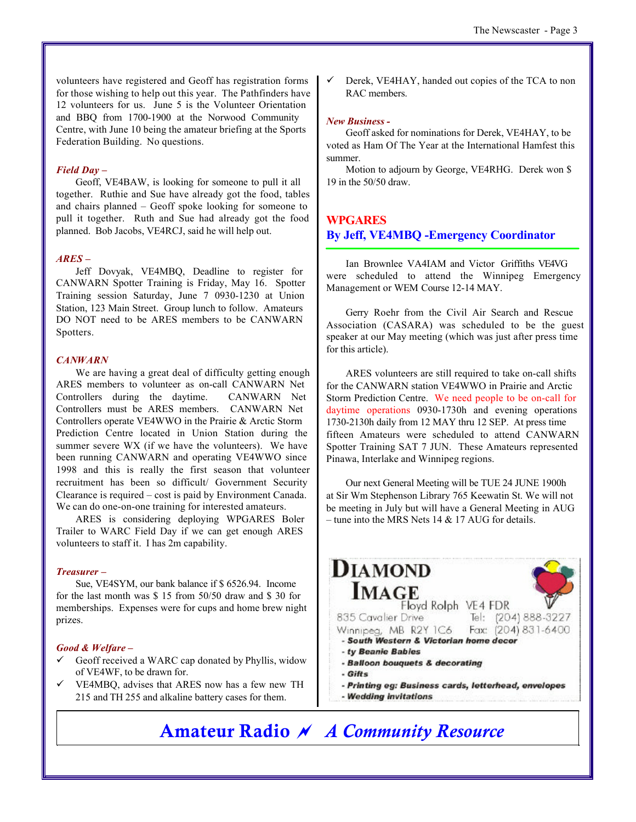volunteers have registered and Geoff has registration forms for those wishing to help out this year. The Pathfinders have 12 volunteers for us. June 5 is the Volunteer Orientation and BBQ from 1700-1900 at the Norwood Community Centre, with June 10 being the amateur briefing at the Sports Federation Building. No questions.

#### *Field Day –*

Geoff, VE4BAW, is looking for someone to pull it all together. Ruthie and Sue have already got the food, tables and chairs planned – Geoff spoke looking for someone to pull it together. Ruth and Sue had already got the food planned. Bob Jacobs, VE4RCJ, said he will help out.

#### *ARES –*

Jeff Dovyak, VE4MBQ, Deadline to register for CANWARN Spotter Training is Friday, May 16. Spotter Training session Saturday, June 7 0930-1230 at Union Station, 123 Main Street. Group lunch to follow. Amateurs DO NOT need to be ARES members to be CANWARN Spotters.

#### *CANWARN*

We are having a great deal of difficulty getting enough ARES members to volunteer as on-call CANWARN Net Controllers during the daytime. CANWARN Net Controllers must be ARES members. CANWARN Net Controllers operate VE4WWO in the Prairie & Arctic Storm Prediction Centre located in Union Station during the summer severe WX (if we have the volunteers). We have been running CANWARN and operating VE4WWO since 1998 and this is really the first season that volunteer recruitment has been so difficult/ Government Security Clearance is required – cost is paid by Environment Canada. We can do one-on-one training for interested amateurs.

ARES is considering deploying WPGARES Boler Trailer to WARC Field Day if we can get enough ARES volunteers to staff it. I has 2m capability.

#### *Treasurer –*

Sue, VE4SYM, our bank balance if \$ 6526.94. Income for the last month was \$ 15 from 50/50 draw and \$ 30 for memberships. Expenses were for cups and home brew night prizes.

#### *Good & Welfare –*

- Geoff received a WARC cap donated by Phyllis, widow of VE4WF, to be drawn for.
- $\checkmark$  VE4MBQ, advises that ARES now has a few new TH 215 and TH 255 and alkaline battery cases for them.

Derek, VE4HAY, handed out copies of the TCA to non RAC members.

#### *New Business -*

Geoff asked for nominations for Derek, VE4HAY, to be voted as Ham Of The Year at the International Hamfest this summer.

Motion to adjourn by George, VE4RHG. Derek won \$ 19 in the 50/50 draw.

## **WPGARES**

**By Jeff, VE4MBQ -Emergency Coordinator**

Ian Brownlee VA4IAM and Victor Griffiths VE4VG were scheduled to attend the Winnipeg Emergency Management or WEM Course 12-14 MAY.

Gerry Roehr from the Civil Air Search and Rescue Association (CASARA) was scheduled to be the guest speaker at our May meeting (which was just after press time for this article).

ARES volunteers are still required to take on-call shifts for the CANWARN station VE4WWO in Prairie and Arctic Storm Prediction Centre. We need people to be on-call for daytime operations 0930-1730h and evening operations 1730-2130h daily from 12 MAY thru 12 SEP. At press time fifteen Amateurs were scheduled to attend CANWARN Spotter Training SAT 7 JUN. These Amateurs represented Pinawa, Interlake and Winnipeg regions.

Our next General Meeting will be TUE 24 JUNE 1900h at Sir Wm Stephenson Library 765 Keewatin St. We will not be meeting in July but will have a General Meeting in AUG – tune into the MRS Nets  $14 & 17$  AUG for details.

#### **DIAMOND IMAGE** Floyd Rolph VE4 FDR 835 Cavalier Drive Tel: (204) 888-3227 Fax: (204) 831-6400 Winnipea, MB R2Y 1C6 - South Western & Victorian home decor - ty Beanie Babies

- Balloon bouquets & decorating
- Gifts
- Printing eg: Business cards, letterhead, envelopes
- Wedding invitations

## **Amateur Radio** *~ A Community Resource*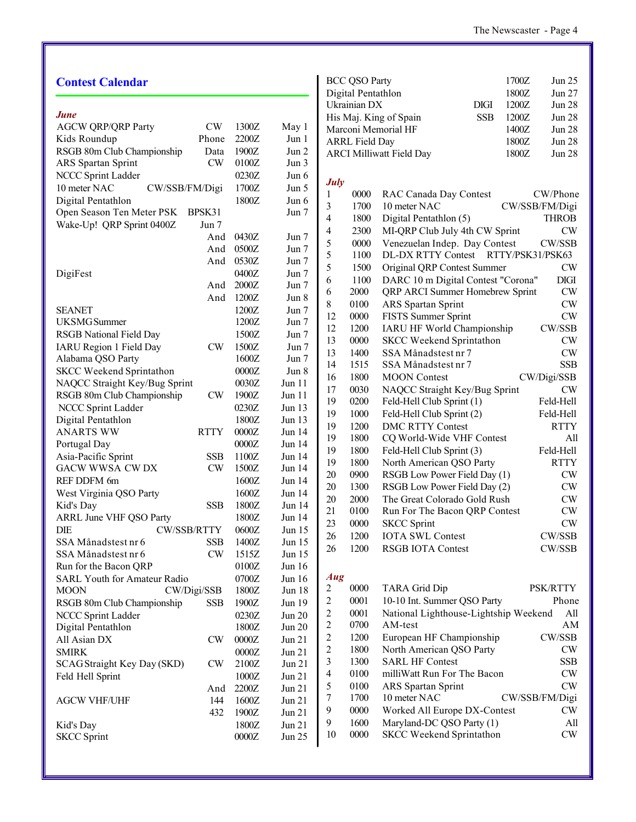| <b>Contest Calendar</b>                  |       |               | BCC QSO                         |
|------------------------------------------|-------|---------------|---------------------------------|
|                                          |       |               | Digital Per<br>Ukrainian l      |
| June                                     |       |               | His Maj. K                      |
| <b>AGCW QRP/QRP Party</b><br>CW          | 1300Z | May 1         | Marconi M                       |
| Kids Roundup<br>Phone                    | 2200Z | Jun 1         | <b>ARRL</b> Fiel                |
| RSGB 80m Club Championship<br>Data       | 1900Z | Jun 2         | <b>ARCI Mill</b>                |
| CW<br><b>ARS</b> Spartan Sprint          | 0100Z | Jun 3         |                                 |
| NCCC Sprint Ladder                       | 0230Z | Jun $6$       |                                 |
| 10 meter NAC<br>CW/SSB/FM/Digi           | 1700Z | Jun 5         | <b>July</b>                     |
| Digital Pentathlon                       | 1800Z | Jun 6         | 0000<br>1                       |
| Open Season Ten Meter PSK<br>BPSK31      |       | Jun 7         | 3<br>1700                       |
| Wake-Up! QRP Sprint 0400Z<br>Jun 7       |       |               | 4<br>1800                       |
| And                                      | 0430Z | Jun $7$       | 4<br>2300                       |
| And                                      | 0500Z | Jun 7         | 5<br>0000                       |
| And                                      | 0530Z | Jun 7         | 5<br>1100                       |
| DigiFest                                 | 0400Z | Jun 7         | 5<br>1500                       |
| And                                      | 2000Z | Jun $7$       | 6<br>1100                       |
| And                                      | 1200Z | Jun 8         | 6<br>2000                       |
| <b>SEANET</b>                            | 1200Z | Jun $7$       | 8<br>0100                       |
| <b>UKSMG</b> Summer                      | 1200Z | Jun $7$       | 0000<br>12                      |
| RSGB National Field Day                  | 1500Z | Jun 7         | 12<br>1200                      |
| IARU Region 1 Field Day<br>CW            | 1500Z | Jun 7         | 0000<br>13                      |
| Alabama QSO Party                        | 1600Z | Jun 7         | 13<br>1400                      |
| <b>SKCC Weekend Sprintathon</b>          | 0000Z | Jun 8         | 14<br>1515                      |
| NAQCC Straight Key/Bug Sprint            | 0030Z | Jun 11        | 1800<br>16                      |
| CW<br>RSGB 80m Club Championship         | 1900Z | Jun 11        | 17<br>0030                      |
| NCCC Sprint Ladder                       | 0230Z | Jun 13        | 19<br>0200                      |
| Digital Pentathlon                       | 1800Z | Jun 13        | 1000<br>19                      |
| <b>RTTY</b><br>ANARTS WW                 | 0000Z | Jun 14        | 1200<br>19                      |
| Portugal Day                             | 0000Z | Jun 14        | 19<br>1800                      |
| Asia-Pacific Sprint<br><b>SSB</b>        | 1100Z | Jun $14$      | 19<br>1800                      |
| <b>GACW WWSA CWDX</b><br><b>CW</b>       | 1500Z | Jun 14        | 19<br>1800                      |
| REF DDFM 6m                              | 1600Z | Jun 14        | 20<br>0900                      |
| West Virginia QSO Party                  | 1600Z | Jun 14        | 20<br>1300                      |
| Kid's Day<br><b>SSB</b>                  | 1800Z | Jun 14        | 20<br>2000                      |
| <b>ARRL June VHF QSO Party</b>           | 1800Z | Jun 14        | 21<br>0100                      |
| DIE<br>CW/SSB/RTTY                       | 0600Z | Jun 15        | 23<br>0000                      |
| SSA Månadstest nr 6<br><b>SSB</b>        | 1400Z | Jun 15        | 26<br>1200                      |
| SSA Månadstest nr 6<br>CW                | 1515Z | Jun 15        | 1200<br>26                      |
|                                          |       |               |                                 |
| Run for the Bacon QRP                    | 0100Z | Jun 16        | Aug                             |
| <b>SARL Youth for Amateur Radio</b>      | 0700Z | Jun 16        | 0000<br>$\overline{\mathbf{c}}$ |
| <b>MOON</b><br>CW/Digi/SSB               | 1800Z | <b>Jun 18</b> | $\overline{c}$<br>0001          |
| RSGB 80m Club Championship<br><b>SSB</b> | 1900Z | Jun 19        | 0001                            |
| NCCC Sprint Ladder                       | 0230Z | Jun 20        | $\frac{2}{2}$<br>0700           |
| Digital Pentathlon                       | 1800Z | <b>Jun 20</b> | $\overline{c}$<br>1200          |
| CW<br>All Asian DX                       | 0000Z | Jun 21        | $\overline{c}$<br>1800          |
| <b>SMIRK</b>                             | 0000Z | Jun 21        | $\overline{\mathbf{3}}$<br>1300 |
| <b>SCAG Straight Key Day (SKD)</b><br>CW | 2100Z | Jun 21        | $\overline{\mathcal{L}}$        |
| Feld Hell Sprint                         | 1000Z | Jun 21        | 0100                            |
| And                                      | 2200Z | Jun 21        | 5<br>0100                       |
| <b>AGCW VHF/UHF</b><br>144               | 1600Z | Jun 21        | 7<br>1700                       |
| 432                                      | 1900Z | Jun 21        | 9<br>0000                       |
| Kid's Day                                | 1800Z | Jun 21        | 9<br>1600                       |
| <b>SKCC Sprint</b>                       | 0000Z | Jun 25        | 10<br>0000                      |
|                                          |       |               |                                 |

| <b>BCC QSO Party</b>            |             | 1700Z | Jun 25        |
|---------------------------------|-------------|-------|---------------|
| Digital Pentathlon              |             | 1800Z | Jun 27        |
| Ukrainian DX                    | <b>DIGI</b> | 1200Z | <b>Jun 28</b> |
| His Maj. King of Spain          | <b>SSB</b>  | 1200Z | <b>Jun 28</b> |
| Marconi Memorial HF             |             | 1400Z | <b>Jun 28</b> |
| <b>ARRL Field Day</b>           |             | 1800Z | <b>Jun 28</b> |
| <b>ARCI Milliwatt Field Day</b> |             | 1800Z | <b>Jun 28</b> |
|                                 |             |       |               |

| 1  | 0000 | RAC Canada Day Contest                 | CW/Phone       |
|----|------|----------------------------------------|----------------|
| 3  | 1700 | 10 meter NAC                           | CW/SSB/FM/Digi |
| 4  | 1800 | Digital Pentathlon (5)                 | <b>THROB</b>   |
| 4  | 2300 | MI-QRP Club July 4th CW Sprint         | CW             |
| 5  | 0000 | Venezuelan Indep. Day Contest          | CW/SSB         |
| 5  | 1100 | RTTY/PSK31/PSK63<br>DL-DX RTTY Contest |                |
| 5  | 1500 | Original QRP Contest Summer            | CW             |
| 6  | 1100 | DARC 10 m Digital Contest "Corona"     | <b>DIGI</b>    |
| 6  | 2000 | QRP ARCI Summer Homebrew Sprint        | CW             |
| 8  | 0100 | <b>ARS</b> Spartan Sprint              | CW             |
| 12 | 0000 | <b>FISTS Summer Sprint</b>             | CW             |
| 12 | 1200 | <b>IARU HF World Championship</b>      | CW/SSB         |
| 13 | 0000 | <b>SKCC Weekend Sprintathon</b>        | CW             |
| 13 | 1400 | SSA Månadstest nr 7                    | CW             |
| 14 | 1515 | SSA Månadstest nr 7                    | <b>SSB</b>     |
| 16 | 1800 | <b>MOON</b> Contest                    | CW/Digi/SSB    |
| 17 | 0030 | NAQCC Straight Key/Bug Sprint          | CW             |
| 19 | 0200 | Feld-Hell Club Sprint (1)              | Feld-Hell      |
| 19 | 1000 | Feld-Hell Club Sprint (2)              | Feld-Hell      |
| 19 | 1200 | <b>DMC RTTY Contest</b>                | <b>RTTY</b>    |
| 19 | 1800 | CQ World-Wide VHF Contest              | All            |
| 19 | 1800 | Feld-Hell Club Sprint (3)              | Feld-Hell      |
| 19 | 1800 | North American QSO Party               | <b>RTTY</b>    |
| 20 | 0900 | RSGB Low Power Field Day (1)           | CW             |
| 20 | 1300 | RSGB Low Power Field Day (2)           | CW             |
| 20 | 2000 | The Great Colorado Gold Rush           | CW             |
| 21 | 0100 | Run For The Bacon QRP Contest          | CW             |
| 23 | 0000 | <b>SKCC</b> Sprint                     | CW             |
| 26 | 1200 | <b>IOTA SWL Contest</b>                | CW/SSB         |
| 26 | 1200 | <b>RSGB IOTA Contest</b>               | CW/SSB         |

| 2              | 0000 | <b>TARA Grid Dip</b>                  | <b>PSK/RTTY</b> |
|----------------|------|---------------------------------------|-----------------|
| 2              | 0001 | 10-10 Int. Summer QSO Party           | Phone           |
| 2              | 0001 | National Lighthouse-Lightship Weekend | All             |
| 2              | 0700 | AM-test                               | AM              |
| 2              | 1200 | European HF Championship              | CW/SSB          |
| $\overline{c}$ | 1800 | North American QSO Party              | CW              |
| 3              | 1300 | <b>SARL HF Contest</b>                | <b>SSB</b>      |
| 4              | 0100 | milliWatt Run For The Bacon           | CW              |
| 5              | 0100 | <b>ARS</b> Spartan Sprint             | CW              |
| 7              | 1700 | 10 meter NAC                          | CW/SSB/FM/Digi  |
| 9              | 0000 | Worked All Europe DX-Contest          | CW              |
| 9              | 1600 | Maryland-DC QSO Party (1)             | All             |
| 10             | 0000 | <b>SKCC Weekend Sprintathon</b>       | CW              |
|                |      |                                       |                 |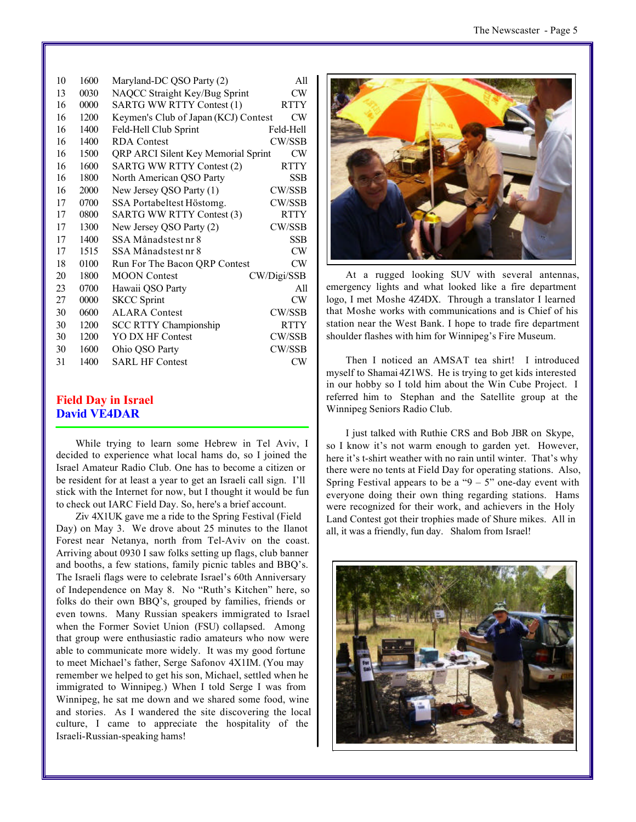| 10 | 1600 | Maryland-DC QSO Party (2)            | All           |
|----|------|--------------------------------------|---------------|
| 13 | 0030 | NAQCC Straight Key/Bug Sprint        | CW            |
| 16 | 0000 | SARTG WW RTTY Contest (1)            | <b>RTTY</b>   |
| 16 | 1200 | Keymen's Club of Japan (KCJ) Contest | CW            |
| 16 | 1400 | Feld-Hell Club Sprint                | Feld-Hell     |
| 16 | 1400 | <b>RDA</b> Contest                   | <b>CW/SSB</b> |
| 16 | 1500 | QRP ARCI Silent Key Memorial Sprint  | CW            |
| 16 | 1600 | <b>SARTG WW RTTY Contest (2)</b>     | <b>RTTY</b>   |
| 16 | 1800 | North American QSO Party             | <b>SSB</b>    |
| 16 | 2000 | New Jersey QSO Party (1)             | CW/SSB        |
| 17 | 0700 | SSA Portabeltest Höstomg.            | CW/SSB        |
| 17 | 0800 | SARTG WW RTTY Contest (3)            | <b>RTTY</b>   |
| 17 | 1300 | New Jersey QSO Party (2)             | CW/SSB        |
| 17 | 1400 | SSA Månadstest nr 8                  | <b>SSB</b>    |
| 17 | 1515 | SSA Månadstest nr 8                  | CW            |
| 18 | 0100 | Run For The Bacon QRP Contest        | CW            |
| 20 | 1800 | <b>MOON</b> Contest                  | CW/Digi/SSB   |
| 23 | 0700 | Hawaii QSO Party                     | All           |
| 27 | 0000 | <b>SKCC</b> Sprint                   | CW            |
| 30 | 0600 | <b>ALARA Contest</b>                 | CW/SSB        |
| 30 | 1200 | <b>SCC RTTY Championship</b>         | <b>RTTY</b>   |
| 30 | 1200 | YO DX HF Contest                     | CW/SSB        |
| 30 | 1600 | Ohio QSO Party                       | CW/SSB        |
| 31 | 1400 | <b>SARL HF Contest</b>               | CW            |
|    |      |                                      |               |

#### **Field Day in Israel David VE4DAR**

While trying to learn some Hebrew in Tel Aviv, I decided to experience what local hams do, so I joined the Israel Amateur Radio Club. One has to become a citizen or be resident for at least a year to get an Israeli call sign. I'll stick with the Internet for now, but I thought it would be fun to check out IARC Field Day. So, here's a brief account.

Ziv 4X1UK gave me a ride to the Spring Festival (Field Day) on May 3. We drove about 25 minutes to the Ilanot Forest near Netanya, north from Tel-Aviv on the coast. Arriving about 0930 I saw folks setting up flags, club banner and booths, a few stations, family picnic tables and BBQ's. The Israeli flags were to celebrate Israel's 60th Anniversary of Independence on May 8. No "Ruth's Kitchen" here, so folks do their own BBQ's, grouped by families, friends or even towns. Many Russian speakers immigrated to Israel when the Former Soviet Union (FSU) collapsed. Among that group were enthusiastic radio amateurs who now were able to communicate more widely. It was my good fortune to meet Michael's father, Serge Safonov 4X1IM. (You may remember we helped to get his son, Michael, settled when he immigrated to Winnipeg.) When I told Serge I was from Winnipeg, he sat me down and we shared some food, wine and stories. As I wandered the site discovering the local culture, I came to appreciate the hospitality of the Israeli-Russian-speaking hams!



At a rugged looking SUV with several antennas, emergency lights and what looked like a fire department logo, I met Moshe 4Z4DX. Through a translator I learned that Moshe works with communications and is Chief of his station near the West Bank. I hope to trade fire department shoulder flashes with him for Winnipeg's Fire Museum.

Then I noticed an AMSAT tea shirt! I introduced myself to Shamai 4Z1WS. He is trying to get kids interested in our hobby so I told him about the Win Cube Project. I referred him to Stephan and the Satellite group at the Winnipeg Seniors Radio Club.

I just talked with Ruthie CRS and Bob JBR on Skype, so I know it's not warm enough to garden yet. However, here it's t-shirt weather with no rain until winter. That's why there were no tents at Field Day for operating stations. Also, Spring Festival appears to be a " $9 - 5$ " one-day event with everyone doing their own thing regarding stations. Hams were recognized for their work, and achievers in the Holy Land Contest got their trophies made of Shure mikes. All in all, it was a friendly, fun day. Shalom from Israel!

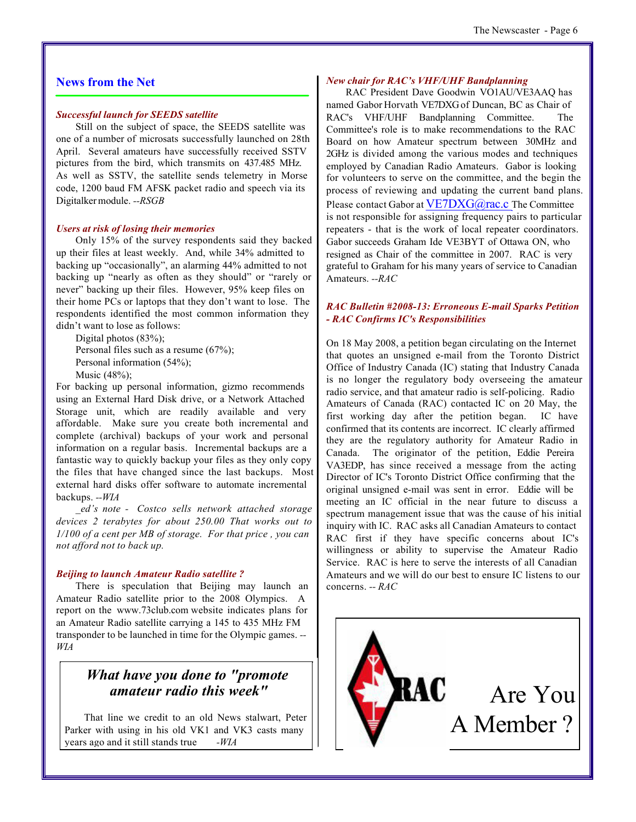#### **News from the Net**

#### *Successful launch for SEEDS satellite*

Still on the subject of space, the SEEDS satellite was one of a number of microsats successfully launched on 28th April. Several amateurs have successfully received SSTV pictures from the bird, which transmits on 437.485 MHz. As well as SSTV, the satellite sends telemetry in Morse code, 1200 baud FM AFSK packet radio and speech via its Digitalker module. *--RSGB*

#### *Users at risk of losing their memories*

Only 15% of the survey respondents said they backed up their files at least weekly. And, while 34% admitted to backing up "occasionally", an alarming 44% admitted to not backing up "nearly as often as they should" or "rarely or never" backing up their files. However, 95% keep files on their home PCs or laptops that they don't want to lose. The respondents identified the most common information they didn't want to lose as follows:

Digital photos (83%); Personal files such as a resume (67%); Personal information (54%); Music (48%);

For backing up personal information, gizmo recommends using an External Hard Disk drive, or a Network Attached Storage unit, which are readily available and very affordable. Make sure you create both incremental and complete (archival) backups of your work and personal information on a regular basis. Incremental backups are a fantastic way to quickly backup your files as they only copy the files that have changed since the last backups. Most external hard disks offer software to automate incremental backups. *--WIA*

*\_ed's note - Costco sells network attached storage devices 2 terabytes for about 250.00 That works out to 1/100 of a cent per MB of storage. For that price , you can not afford not to back up.*

#### *Beijing to launch Amateur Radio satellite ?*

There is speculation that Beijing may launch an Amateur Radio satellite prior to the 2008 Olympics. A report on the www.73club.com website indicates plans for an Amateur Radio satellite carrying a 145 to 435 MHz FM transponder to be launched in time for the Olympic games. *-- WIA*

## *What have you done to "promote amateur radio this week"*

That line we credit to an old News stalwart, Peter Parker with using in his old VK1 and VK3 casts many years ago and it still stands true *-WIA*

#### *New chair for RAC's VHF/UHF Bandplanning*

RAC President Dave Goodwin VO1AU/VE3AAQ has named Gabor Horvath VE7DXG of Duncan, BC as Chair of RAC's VHF/UHF Bandplanning Committee. The Committee's role is to make recommendations to the RAC Board on how Amateur spectrum between 30MHz and 2GHz is divided among the various modes and techniques employed by Canadian Radio Amateurs. Gabor is looking for volunteers to serve on the committee, and the begin the process of reviewing and updating the current band plans. Please contact Gabor at VE7DXG@rac.c The Committee is not responsible for assigning frequency pairs to particular repeaters - that is the work of local repeater coordinators. Gabor succeeds Graham Ide VE3BYT of Ottawa ON, who resigned as Chair of the committee in 2007. RAC is very grateful to Graham for his many years of service to Canadian Amateurs. *--RAC*

#### *RAC Bulletin #2008-13: Erroneous E-mail Sparks Petition - RAC Confirms IC's Responsibilities*

On 18 May 2008, a petition began circulating on the Internet that quotes an unsigned e-mail from the Toronto District Office of Industry Canada (IC) stating that Industry Canada is no longer the regulatory body overseeing the amateur radio service, and that amateur radio is self-policing. Radio Amateurs of Canada (RAC) contacted IC on 20 May, the first working day after the petition began. IC have confirmed that its contents are incorrect. IC clearly affirmed they are the regulatory authority for Amateur Radio in Canada. The originator of the petition, Eddie Pereira VA3EDP, has since received a message from the acting Director of IC's Toronto District Office confirming that the original unsigned e-mail was sent in error. Eddie will be meeting an IC official in the near future to discuss a spectrum management issue that was the cause of his initial inquiry with IC. RAC asks all Canadian Amateurs to contact RAC first if they have specific concerns about IC's willingness or ability to supervise the Amateur Radio Service. RAC is here to serve the interests of all Canadian Amateurs and we will do our best to ensure IC listens to our concerns. *-- RAC*

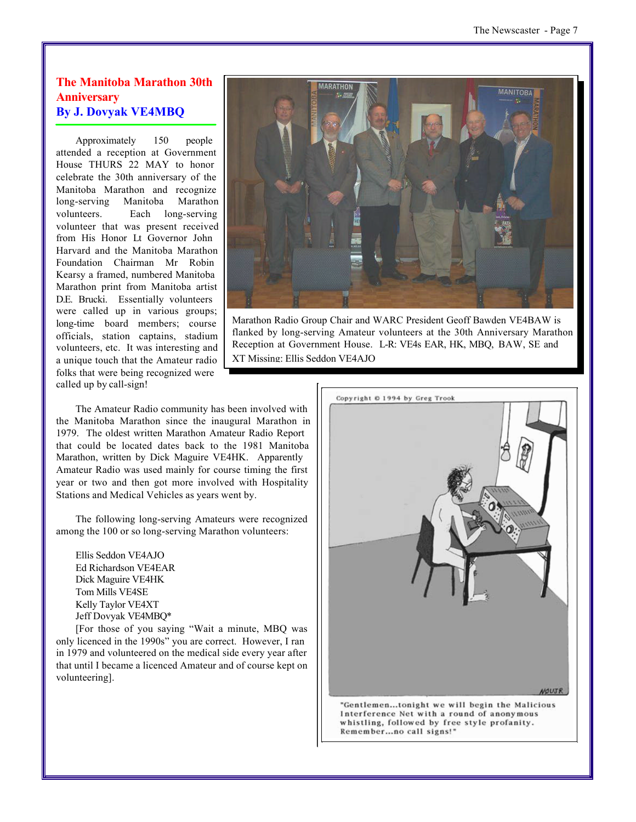#### **The Manitoba Marathon 30th Anniversary By J. Dovyak VE4MBQ**

Approximately 150 people attended a reception at Government House THURS 22 MAY to honor celebrate the 30th anniversary of the Manitoba Marathon and recognize long-serving Manitoba Marathon volunteers. Each long-serving volunteer that was present received from His Honor Lt Governor John Harvard and the Manitoba Marathon Foundation Chairman Mr Robin Kearsy a framed, numbered Manitoba Marathon print from Manitoba artist D.E. Brucki. Essentially volunteers were called up in various groups; long-time board members; course officials, station captains, stadium volunteers, etc. It was interesting and a unique touch that the Amateur radio folks that were being recognized were called up by call-sign!



Marathon Radio Group Chair and WARC President Geoff Bawden VE4BAW is flanked by long-serving Amateur volunteers at the 30th Anniversary Marathon Reception at Government House. L-R: VE4s EAR, HK, MBQ, BAW, SE and XT Missing: Ellis Seddon VE4AJO

The Amateur Radio community has been involved with the Manitoba Marathon since the inaugural Marathon in 1979. The oldest written Marathon Amateur Radio Report that could be located dates back to the 1981 Manitoba Marathon, written by Dick Maguire VE4HK. Apparently Amateur Radio was used mainly for course timing the first year or two and then got more involved with Hospitality Stations and Medical Vehicles as years went by.

The following long-serving Amateurs were recognized among the 100 or so long-serving Marathon volunteers:

Ellis Seddon VE4AJO Ed Richardson VE4EAR Dick Maguire VE4HK Tom Mills VE4SE Kelly Taylor VE4XT Jeff Dovyak VE4MBQ\*

[For those of you saying "Wait a minute, MBQ was only licenced in the 1990s" you are correct. However, I ran in 1979 and volunteered on the medical side every year after that until I became a licenced Amateur and of course kept on volunteering].



"Gentlemen...tonight we will begin the Malicious Interference Net with a round of anonymous whistling, followed by free style profanity. Remember...no call signs!"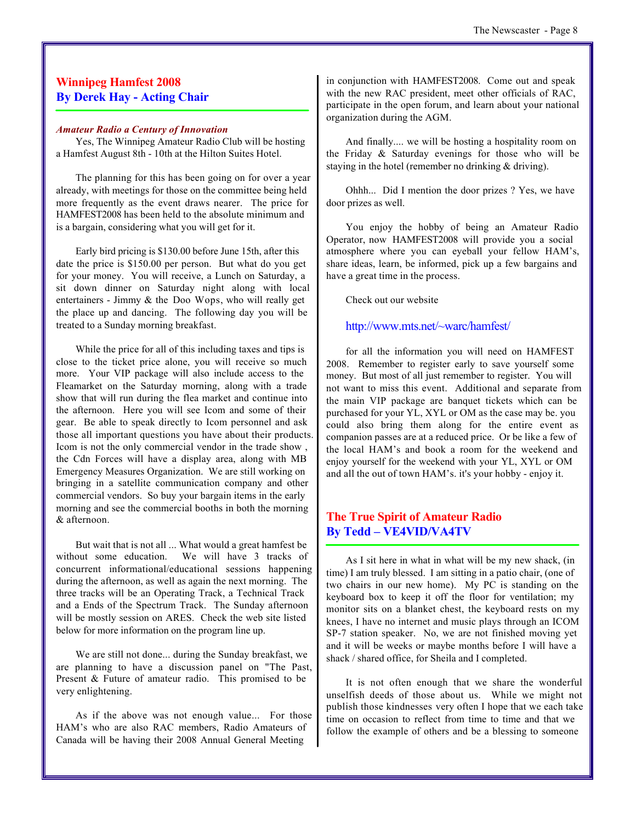#### **Winnipeg Hamfest 2008 By Derek Hay - Acting Chair**

#### *Amateur Radio a Century of Innovation*

Yes, The Winnipeg Amateur Radio Club will be hosting a Hamfest August 8th - 10th at the Hilton Suites Hotel.

The planning for this has been going on for over a year already, with meetings for those on the committee being held more frequently as the event draws nearer. The price for HAMFEST2008 has been held to the absolute minimum and is a bargain, considering what you will get for it.

Early bird pricing is \$130.00 before June 15th, after this date the price is \$150.00 per person. But what do you get for your money. You will receive, a Lunch on Saturday, a sit down dinner on Saturday night along with local entertainers - Jimmy & the Doo Wops, who will really get the place up and dancing. The following day you will be treated to a Sunday morning breakfast.

While the price for all of this including taxes and tips is close to the ticket price alone, you will receive so much more. Your VIP package will also include access to the Fleamarket on the Saturday morning, along with a trade show that will run during the flea market and continue into the afternoon. Here you will see Icom and some of their gear. Be able to speak directly to Icom personnel and ask those all important questions you have about their products. Icom is not the only commercial vendor in the trade show , the Cdn Forces will have a display area, along with MB Emergency Measures Organization. We are still working on bringing in a satellite communication company and other commercial vendors. So buy your bargain items in the early morning and see the commercial booths in both the morning & afternoon.

But wait that is not all ... What would a great hamfest be without some education. We will have 3 tracks of concurrent informational/educational sessions happening during the afternoon, as well as again the next morning. The three tracks will be an Operating Track, a Technical Track and a Ends of the Spectrum Track. The Sunday afternoon will be mostly session on ARES. Check the web site listed below for more information on the program line up.

We are still not done... during the Sunday breakfast, we are planning to have a discussion panel on "The Past, Present & Future of amateur radio. This promised to be very enlightening.

As if the above was not enough value... For those HAM's who are also RAC members, Radio Amateurs of Canada will be having their 2008 Annual General Meeting

in conjunction with HAMFEST2008. Come out and speak with the new RAC president, meet other officials of RAC, participate in the open forum, and learn about your national organization during the AGM.

And finally.... we will be hosting a hospitality room on the Friday & Saturday evenings for those who will be staying in the hotel (remember no drinking & driving).

Ohhh... Did I mention the door prizes ? Yes, we have door prizes as well.

You enjoy the hobby of being an Amateur Radio Operator, now HAMFEST2008 will provide you a social atmosphere where you can eyeball your fellow HAM's, share ideas, learn, be informed, pick up a few bargains and have a great time in the process.

Check out our website

http://www.mts.net/~warc/hamfest/

for all the information you will need on HAMFEST 2008. Remember to register early to save yourself some money. But most of all just remember to register. You will not want to miss this event. Additional and separate from the main VIP package are banquet tickets which can be purchased for your YL, XYL or OM as the case may be. you could also bring them along for the entire event as companion passes are at a reduced price. Or be like a few of the local HAM's and book a room for the weekend and enjoy yourself for the weekend with your YL, XYL or OM and all the out of town HAM's. it's your hobby - enjoy it.

#### **The True Spirit of Amateur Radio By Tedd – VE4VID/VA4TV**

As I sit here in what in what will be my new shack, (in time) I am truly blessed. I am sitting in a patio chair, (one of two chairs in our new home). My PC is standing on the keyboard box to keep it off the floor for ventilation; my monitor sits on a blanket chest, the keyboard rests on my knees, I have no internet and music plays through an ICOM SP-7 station speaker. No, we are not finished moving yet and it will be weeks or maybe months before I will have a shack / shared office, for Sheila and I completed.

It is not often enough that we share the wonderful unselfish deeds of those about us. While we might not publish those kindnesses very often I hope that we each take time on occasion to reflect from time to time and that we follow the example of others and be a blessing to someone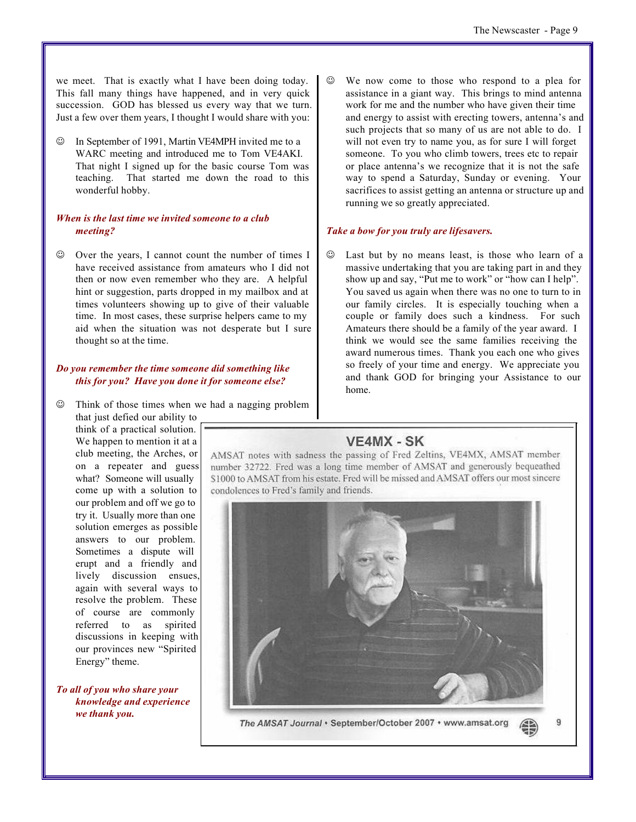we meet. That is exactly what I have been doing today. This fall many things have happened, and in very quick succession. GOD has blessed us every way that we turn. Just a few over them years, I thought I would share with you:

In September of 1991, Martin VE4MPH invited me to a WARC meeting and introduced me to Tom VE4AKI. That night I signed up for the basic course Tom was teaching. That started me down the road to this wonderful hobby.

#### *When is the last time we invited someone to a club meeting?*

Over the years, I cannot count the number of times I have received assistance from amateurs who I did not then or now even remember who they are. A helpful hint or suggestion, parts dropped in my mailbox and at times volunteers showing up to give of their valuable time. In most cases, these surprise helpers came to my aid when the situation was not desperate but I sure thought so at the time.

#### *Do you remember the time someone did something like this for you? Have you done it for someone else?*

 $\circledcirc$  Think of those times when we had a nagging problem

that just defied our ability to think of a practical solution. We happen to mention it at a club meeting, the Arches, or on a repeater and guess what? Someone will usually come up with a solution to our problem and off we go to try it. Usually more than one solution emerges as possible answers to our problem. Sometimes a dispute will erupt and a friendly and lively discussion ensues, again with several ways to resolve the problem. These of course are commonly referred to as spirited discussions in keeping with our provinces new "Spirited Energy" theme.

#### *To all of you who share your knowledge and experience we thank you.*

 $\odot$  We now come to those who respond to a plea for assistance in a giant way. This brings to mind antenna work for me and the number who have given their time and energy to assist with erecting towers, antenna's and such projects that so many of us are not able to do. I will not even try to name you, as for sure I will forget someone. To you who climb towers, trees etc to repair or place antenna's we recognize that it is not the safe way to spend a Saturday, Sunday or evening. Your sacrifices to assist getting an antenna or structure up and running we so greatly appreciated.

#### *Take a bow for you truly are lifesavers.*

Last but by no means least, is those who learn of a massive undertaking that you are taking part in and they show up and say, "Put me to work" or "how can I help". You saved us again when there was no one to turn to in our family circles. It is especially touching when a couple or family does such a kindness. For such Amateurs there should be a family of the year award. I think we would see the same families receiving the award numerous times. Thank you each one who gives so freely of your time and energy. We appreciate you and thank GOD for bringing your Assistance to our home.

### VE4MX - SK

AMSAT notes with sadness the passing of Fred Zeltins, VE4MX, AMSAT member number 32722. Fred was a long time member of AMSAT and generously bequeathed \$1000 to AMSAT from his estate. Fred will be missed and AMSAT offers our most sincere condolences to Fred's family and friends.